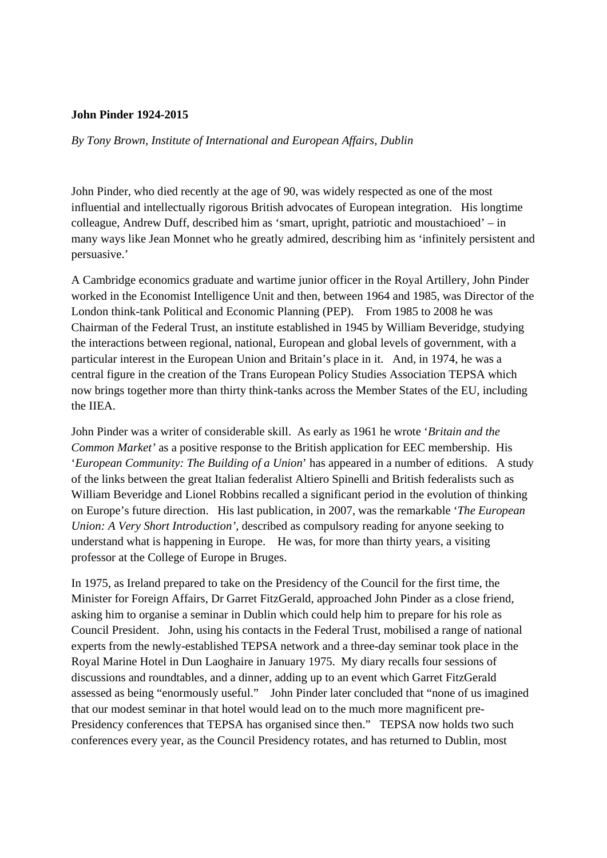## **John Pinder 1924-2015**

*By Tony Brown, Institute of International and European Affairs, Dublin* 

John Pinder, who died recently at the age of 90, was widely respected as one of the most influential and intellectually rigorous British advocates of European integration. His longtime colleague, Andrew Duff, described him as 'smart, upright, patriotic and moustachioed' – in many ways like Jean Monnet who he greatly admired, describing him as 'infinitely persistent and persuasive.'

A Cambridge economics graduate and wartime junior officer in the Royal Artillery, John Pinder worked in the Economist Intelligence Unit and then, between 1964 and 1985, was Director of the London think-tank Political and Economic Planning (PEP). From 1985 to 2008 he was Chairman of the Federal Trust, an institute established in 1945 by William Beveridge, studying the interactions between regional, national, European and global levels of government, with a particular interest in the European Union and Britain's place in it. And, in 1974, he was a central figure in the creation of the Trans European Policy Studies Association TEPSA which now brings together more than thirty think-tanks across the Member States of the EU, including the IIEA.

John Pinder was a writer of considerable skill. As early as 1961 he wrote '*Britain and the Common Market'* as a positive response to the British application for EEC membership. His '*European Community: The Building of a Union*' has appeared in a number of editions. A study of the links between the great Italian federalist Altiero Spinelli and British federalists such as William Beveridge and Lionel Robbins recalled a significant period in the evolution of thinking on Europe's future direction. His last publication, in 2007, was the remarkable '*The European Union: A Very Short Introduction'*, described as compulsory reading for anyone seeking to understand what is happening in Europe. He was, for more than thirty years, a visiting professor at the College of Europe in Bruges.

In 1975, as Ireland prepared to take on the Presidency of the Council for the first time, the Minister for Foreign Affairs, Dr Garret FitzGerald, approached John Pinder as a close friend, asking him to organise a seminar in Dublin which could help him to prepare for his role as Council President. John, using his contacts in the Federal Trust, mobilised a range of national experts from the newly-established TEPSA network and a three-day seminar took place in the Royal Marine Hotel in Dun Laoghaire in January 1975. My diary recalls four sessions of discussions and roundtables, and a dinner, adding up to an event which Garret FitzGerald assessed as being "enormously useful." John Pinder later concluded that "none of us imagined that our modest seminar in that hotel would lead on to the much more magnificent pre-Presidency conferences that TEPSA has organised since then." TEPSA now holds two such conferences every year, as the Council Presidency rotates, and has returned to Dublin, most